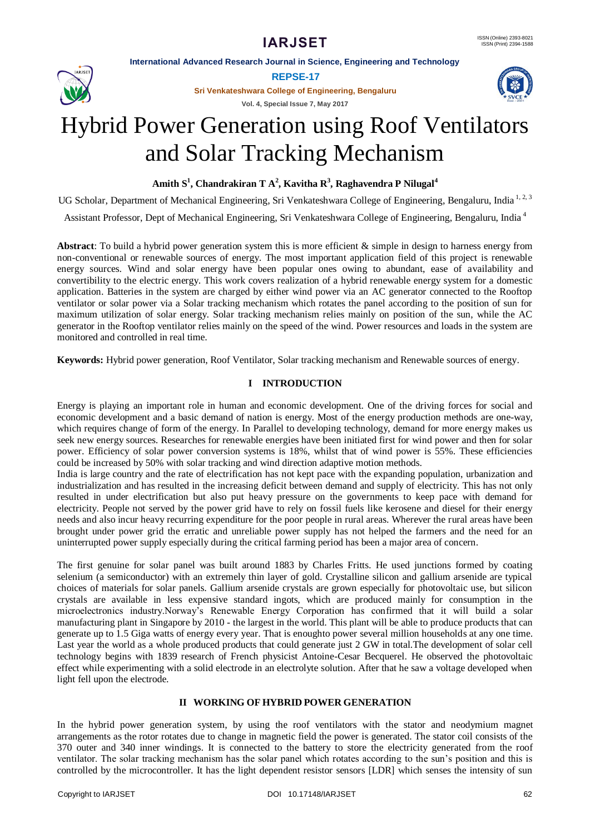**International Advanced Research Journal in Science, Engineering and Technology**



**REPSE-17**

**Sri Venkateshwara College of Engineering, Bengaluru**

**Vol. 4, Special Issue 7, May 2017**



# Hybrid Power Generation using Roof Ventilators and Solar Tracking Mechanism

**Amith S<sup>1</sup> , Chandrakiran T A<sup>2</sup> , Kavitha R<sup>3</sup> , Raghavendra P Nilugal<sup>4</sup>**

UG Scholar, Department of Mechanical Engineering, Sri Venkateshwara College of Engineering, Bengaluru, India<sup>1,2,3</sup>

Assistant Professor, Dept of Mechanical Engineering, Sri Venkateshwara College of Engineering, Bengaluru, India <sup>4</sup>

**Abstract**: To build a hybrid power generation system this is more efficient & simple in design to harness energy from non-conventional or renewable sources of energy. The most important application field of this project is renewable energy sources. Wind and solar energy have been popular ones owing to abundant, ease of availability and convertibility to the electric energy. This work covers realization of a hybrid renewable energy system for a domestic application. Batteries in the system are charged by either wind power via an AC generator connected to the Rooftop ventilator or solar power via a Solar tracking mechanism which rotates the panel according to the position of sun for maximum utilization of solar energy. Solar tracking mechanism relies mainly on position of the sun, while the AC generator in the Rooftop ventilator relies mainly on the speed of the wind. Power resources and loads in the system are monitored and controlled in real time.

**Keywords:** Hybrid power generation, Roof Ventilator, Solar tracking mechanism and Renewable sources of energy.

# **I INTRODUCTION**

Energy is playing an important role in human and economic development. One of the driving forces for social and economic development and a basic demand of nation is energy. Most of the energy production methods are one-way, which requires change of form of the energy. In Parallel to developing technology, demand for more energy makes us seek new energy sources. Researches for renewable energies have been initiated first for wind power and then for solar power. Efficiency of solar power conversion systems is 18%, whilst that of wind power is 55%. These efficiencies could be increased by 50% with solar tracking and wind direction adaptive motion methods.

India is large country and the rate of electrification has not kept pace with the expanding population, urbanization and industrialization and has resulted in the increasing deficit between demand and supply of electricity. This has not only resulted in under electrification but also put heavy pressure on the governments to keep pace with demand for electricity. People not served by the power grid have to rely on fossil fuels like kerosene and diesel for their energy needs and also incur heavy recurring expenditure for the poor people in rural areas. Wherever the rural areas have been brought under power grid the erratic and unreliable power supply has not helped the farmers and the need for an uninterrupted power supply especially during the critical farming period has been a major area of concern.

The first genuine for solar panel was built around 1883 by Charles Fritts. He used junctions formed by coating selenium (a semiconductor) with an extremely thin layer of gold. Crystalline silicon and gallium arsenide are typical choices of materials for solar panels. Gallium arsenide crystals are grown especially for photovoltaic use, but silicon crystals are available in less expensive standard ingots, which are produced mainly for consumption in the microelectronics industry.Norway's Renewable Energy Corporation has confirmed that it will build a solar manufacturing plant in Singapore by 2010 - the largest in the world. This plant will be able to produce products that can generate up to 1.5 Giga watts of energy every year. That is enoughto power several million households at any one time. Last year the world as a whole produced products that could generate just 2 GW in total.The development of solar cell technology begins with 1839 research of French physicist Antoine-Cesar Becquerel. He observed the photovoltaic effect while experimenting with a solid electrode in an electrolyte solution. After that he saw a voltage developed when light fell upon the electrode.

# **II WORKING OF HYBRID POWER GENERATION**

In the hybrid power generation system, by using the roof ventilators with the stator and neodymium magnet arrangements as the rotor rotates due to change in magnetic field the power is generated. The stator coil consists of the 370 outer and 340 inner windings. It is connected to the battery to store the electricity generated from the roof ventilator. The solar tracking mechanism has the solar panel which rotates according to the sun's position and this is controlled by the microcontroller. It has the light dependent resistor sensors [LDR] which senses the intensity of sun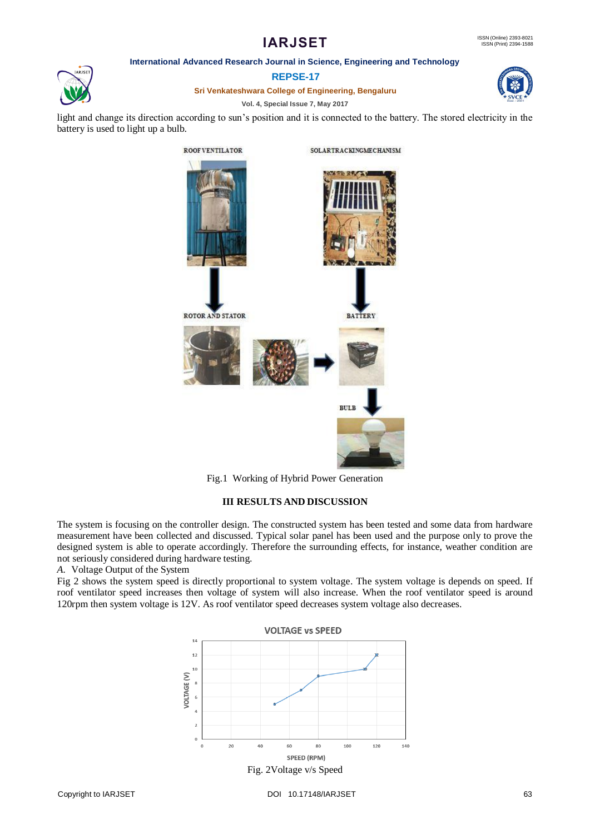# **IARJSET**

### **International Advanced Research Journal in Science, Engineering and Technology**



**REPSE-17**

**Sri Venkateshwara College of Engineering, Bengaluru**

# **Vol. 4, Special Issue 7, May 2017**





Fig.1 Working of Hybrid Power Generation

# **III RESULTS AND DISCUSSION**

The system is focusing on the controller design. The constructed system has been tested and some data from hardware measurement have been collected and discussed. Typical solar panel has been used and the purpose only to prove the designed system is able to operate accordingly. Therefore the surrounding effects, for instance, weather condition are not seriously considered during hardware testing.

*A.* Voltage Output of the System

Fig 2 shows the system speed is directly proportional to system voltage. The system voltage is depends on speed. If roof ventilator speed increases then voltage of system will also increase. When the roof ventilator speed is around 120rpm then system voltage is 12V. As roof ventilator speed decreases system voltage also decreases.